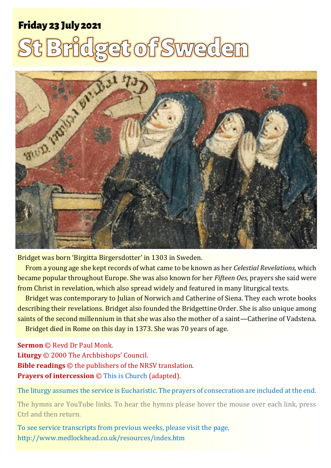# Friday Friday 23 <sup>23</sup> July <sup>2021</sup> <sup>1</sup> **St Bridget of Sweden** July 2021

# dget of Sweden



Bridget was born 'Birgitta Birgersdotter' in 1303 in Sweden.

From a young age she kept records of what came to be known as her *Celestial Revelations,* which became popular throughout Europe. She was also known for her *Fifteen Oes,* prayers she said were from Christ in revelation, which also spread widely and featured in many liturgical texts.

Bridget was contemporary to Julian of Norwich and Catherine of Siena. They each wrote books describing their revelations. Bridget also founded the Bridgettine Order. She is also unique among saints of the second millennium in that she was also the mother of a saint—Catherine of Vadstena.

Bridget died in Rome on this day in 1373. She was 70 years of age.

**Sermon** © Revd Dr Paul Monk. **Liturgy** © 2000 The Archbishops' Council. **Bible readings** © the publishers of the NRSV translation. **Prayers of intercession** © [This is Church](http://www.thisischurch.com/prayer_worship/intercession/easter5_yearb__2015_morris.html) (adapted).

The liturgy assumes the service is Eucharistic. The prayers of consecration are included at the end.

The hymns are YouTube links. To hear the hymns please hover the mouse over each link, press Ctrl and then return.

To see service transcripts from previous weeks, please visit the page, <http://www.medlockhead.co.uk/resources/index.htm>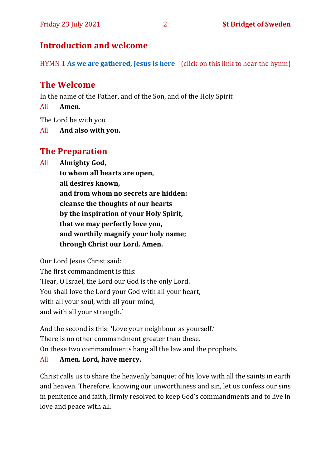# **Introduction and welcome**

HYMN 1 **[As we are gathered, Jesus is here](https://www.youtube.com/watch?v=zj0Eg9X0FT8)** (click on this link to hear the hymn)

# **The Welcome**

In the name of the Father, and of the Son, and of the Holy Spirit

All **Amen.**

The Lord be with you

All **And also with you.**

# **The Preparation**

All **Almighty God,**

**to whom all hearts are open, all desires known, and from whom no secrets are hidden: cleanse the thoughts of our hearts by the inspiration of your Holy Spirit, that we may perfectly love you, and worthily magnify your holy name; through Christ our Lord. Amen.**

Our Lord Jesus Christ said:

The first commandment is this: 'Hear, O Israel, the Lord our God is the only Lord. You shall love the Lord your God with all your heart, with all your soul, with all your mind, and with all your strength.'

And the second is this: 'Love your neighbour as yourself.' There is no other commandment greater than these. On these two commandments hang all the law and the prophets.

#### All **Amen. Lord, have mercy.**

Christ calls us to share the heavenly banquet of his love with all the saints in earth and heaven. Therefore, knowing our unworthiness and sin, let us confess our sins in penitence and faith, firmly resolved to keep God's commandments and to live in love and peace with all.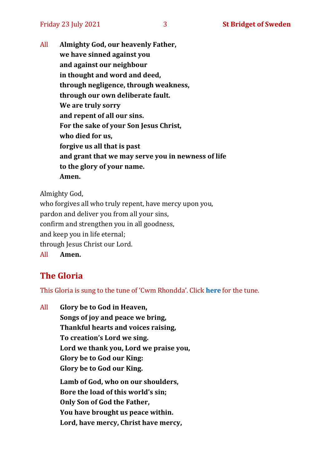All **Almighty God, our heavenly Father, we have sinned against you and against our neighbour in thought and word and deed, through negligence, through weakness, through our own deliberate fault. We are truly sorry and repent of all our sins. For the sake of your Son Jesus Christ, who died for us, forgive us all that is past and grant that we may serve you in newness of life to the glory of your name. Amen.**

Almighty God,

who forgives all who truly repent, have mercy upon you, pardon and deliver you from all your sins, confirm and strengthen you in all goodness, and keep you in life eternal; through Jesus Christ our Lord. All **Amen.**

# **The Gloria**

This Gloria is sung to the tune of 'Cwm Rhondda'. Click **[here](https://www.youtube.com/watch?v=l71MLQ22dIk)** for the tune.

All **Glory be to God in Heaven, Songs of joy and peace we bring, Thankful hearts and voices raising, To creation's Lord we sing. Lord we thank you, Lord we praise you, Glory be to God our King: Glory be to God our King. Lamb of God, who on our shoulders, Bore the load of this world's sin; Only Son of God the Father, You have brought us peace within. Lord, have mercy, Christ have mercy,**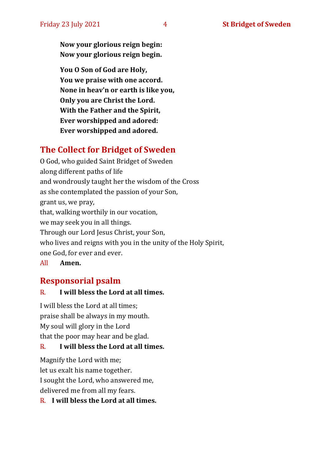**Now your glorious reign begin: Now your glorious reign begin.**

**You O Son of God are Holy, You we praise with one accord. None in heav'n or earth is like you, Only you are Christ the Lord. With the Father and the Spirit, Ever worshipped and adored: Ever worshipped and adored.**

# **The Collect for Bridget of Sweden**

O God, who guided Saint Bridget of Sweden along different paths of life and wondrously taught her the wisdom of the Cross as she contemplated the passion of your Son, grant us, we pray, that, walking worthily in our vocation, we may seek you in all things. Through our Lord Jesus Christ, your Son, who lives and reigns with you in the unity of the Holy Spirit, one God, for ever and ever.

All **Amen.**

# **Responsorial psalm**

#### ℞. **I will bless the Lord at all times.**

I will bless the Lord at all times; praise shall be always in my mouth. My soul will glory in the Lord that the poor may hear and be glad.

#### ℞. **I will bless the Lord at all times.**

Magnify the Lord with me; let us exalt his name together. I sought the Lord, who answered me, delivered me from all my fears.

℞. **I will bless the Lord at all times.**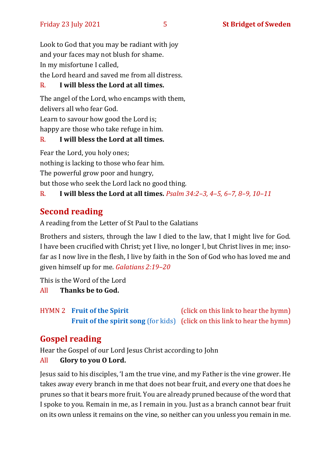Look to God that you may be radiant with joy and your faces may not blush for shame. In my misfortune I called,

the Lord heard and saved me from all distress.

#### ℞. **I will bless the Lord at all times.**

The angel of the Lord, who encamps with them, delivers all who fear God.

Learn to savour how good the Lord is;

happy are those who take refuge in him.

#### ℞. **I will bless the Lord at all times.**

Fear the Lord, you holy ones; nothing is lacking to those who fear him. The powerful grow poor and hungry, but those who seek the Lord lack no good thing.

℞. **I will bless the Lord at all times.** *Psalm 34:2–3, 4–5, 6–7, 8–9, 10–11*

# **Second reading**

A reading from the Letter of St Paul to the Galatians

Brothers and sisters, through the law I died to the law, that I might live for God. I have been crucified with Christ; yet I live, no longer I, but Christ lives in me; insofar as I now live in the flesh, I live by faith in the Son of God who has loved me and given himself up for me. *Galatians 2:19–20*

This is the Word of the Lord

All **Thanks be to God.**

HYMN 2 **[Fruit of the Spirit](https://www.youtube.com/watch?v=dCU0IP5ioa8&t=6s)** (click on this link to hear the hymn) **[Fruit of the spirit song](https://www.youtube.com/watch?v=Rezg4jYFoj0&t=19s)** (for kids) (click on this link to hear the hymn)

# **Gospel reading**

Hear the Gospel of our Lord Jesus Christ according to John

All **Glory to you O Lord.**

Jesus said to his disciples, 'I am the true vine, and my Father is the vine grower. He takes away every branch in me that does not bear fruit, and every one that does he prunes so that it bears more fruit. You are already pruned because of the word that I spoke to you. Remain in me, as I remain in you. Just as a branch cannot bear fruit on its own unless it remains on the vine, so neither can you unless you remain in me.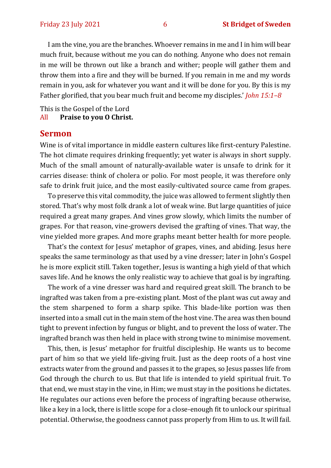I am the vine, you are the branches. Whoever remains in me and I in him will bear much fruit, because without me you can do nothing. Anyone who does not remain in me will be thrown out like a branch and wither; people will gather them and throw them into a fire and they will be burned. If you remain in me and my words remain in you, ask for whatever you want and it will be done for you. By this is my Father glorified, that you bear much fruit and become my disciples.' *John 15:1–8*

This is the Gospel of the Lord All **Praise to you O Christ.** 

#### **Sermon**

Wine is of vital importance in middle eastern cultures like first-century Palestine. The hot climate requires drinking frequently; yet water is always in short supply. Much of the small amount of naturally-available water is unsafe to drink for it carries disease: think of cholera or polio. For most people, it was therefore only safe to drink fruit juice, and the most easily-cultivated source came from grapes.

To preserve this vital commodity, the juice was allowed to ferment slightly then stored. That's why most folk drank a lot of weak wine. But large quantities of juice required a great many grapes. And vines grow slowly, which limits the number of grapes. For that reason, vine-growers devised the grafting of vines. That way, the vine yielded more grapes. And more graphs meant better health for more people.

That's the context for Jesus' metaphor of grapes, vines, and abiding. Jesus here speaks the same terminology as that used by a vine dresser; later in John's Gospel he is more explicit still. Taken together, Jesus is wanting a high yield of that which saves life. And he knows the only realistic way to achieve that goal is by ingrafting.

The work of a vine dresser was hard and required great skill. The branch to be ingrafted was taken from a pre-existing plant. Most of the plant was cut away and the stem sharpened to form a sharp spike. This blade-like portion was then inserted into a small cut in the main stem of the host vine. The area was then bound tight to prevent infection by fungus or blight, and to prevent the loss of water. The ingrafted branch was then held in place with strong twine to minimise movement.

This, then, is Jesus' metaphor for fruitful discipleship. He wants us to become part of him so that we yield life-giving fruit. Just as the deep roots of a host vine extracts water from the ground and passes it to the grapes, so Jesus passes life from God through the church to us. But that life is intended to yield spiritual fruit. To that end, we must stay in the vine, in Him; we must stay in the positions he dictates. He regulates our actions even before the process of ingrafting because otherwise, like a key in a lock, there is little scope for a close-enough fit to unlock our spiritual potential. Otherwise, the goodness cannot pass properly from Him to us. It will fail.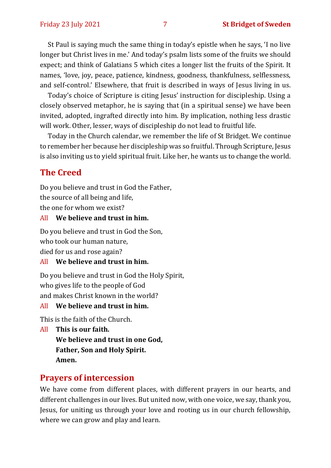St Paul is saying much the same thing in today's epistle when he says, 'I no live longer but Christ lives in me.' And today's psalm lists some of the fruits we should expect; and think of Galatians 5 which cites a longer list the fruits of the Spirit. It names, 'love, joy, peace, patience, kindness, goodness, thankfulness, selflessness, and self-control.' Elsewhere, that fruit is described in ways of Jesus living in us.

Today's choice of Scripture is citing Jesus' instruction for discipleship. Using a closely observed metaphor, he is saying that (in a spiritual sense) we have been invited, adopted, ingrafted directly into him. By implication, nothing less drastic will work. Other, lesser, ways of discipleship do not lead to fruitful life.

Today in the Church calendar, we remember the life of St Bridget. We continue to remember her because her discipleship was so fruitful. Through Scripture, Jesus is also inviting us to yield spiritual fruit. Like her, he wants us to change the world.

#### **The Creed**

Do you believe and trust in God the Father,

the source of all being and life,

the one for whom we exist?

#### All **We believe and trust in him.**

Do you believe and trust in God the Son, who took our human nature,

died for us and rose again?

#### All **We believe and trust in him.**

Do you believe and trust in God the Holy Spirit, who gives life to the people of God and makes Christ known in the world?

#### All **We believe and trust in him.**

This is the faith of the Church.

All **This is our faith. We believe and trust in one God, Father, Son and Holy Spirit. Amen.**

#### **Prayers of intercession**

We have come from different places, with different prayers in our hearts, and different challenges in our lives. But united now, with one voice, we say, thank you, Jesus, for uniting us through your love and rooting us in our church fellowship, where we can grow and play and learn.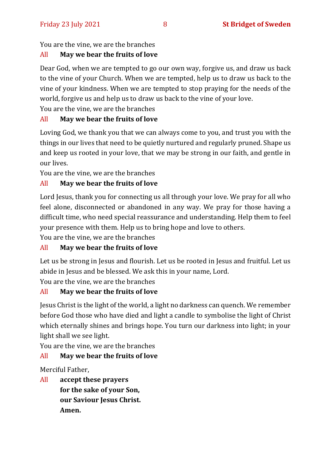#### You are the vine, we are the branches

#### All **May we bear the fruits of love**

Dear God, when we are tempted to go our own way, forgive us, and draw us back to the vine of your Church. When we are tempted, help us to draw us back to the vine of your kindness. When we are tempted to stop praying for the needs of the world, forgive us and help us to draw us back to the vine of your love.

You are the vine, we are the branches

#### All **May we bear the fruits of love**

Loving God, we thank you that we can always come to you, and trust you with the things in our lives that need to be quietly nurtured and regularly pruned. Shape us and keep us rooted in your love, that we may be strong in our faith, and gentle in our lives.

You are the vine, we are the branches

#### All **May we bear the fruits of love**

Lord Jesus, thank you for connecting us all through your love. We pray for all who feel alone, disconnected or abandoned in any way. We pray for those having a difficult time, who need special reassurance and understanding. Help them to feel your presence with them. Help us to bring hope and love to others.

You are the vine, we are the branches

#### All **May we bear the fruits of love**

Let us be strong in Jesus and flourish. Let us be rooted in Jesus and fruitful. Let us abide in Jesus and be blessed. We ask this in your name, Lord.

You are the vine, we are the branches

#### All **May we bear the fruits of love**

Jesus Christ is the light of the world, a light no darkness can quench. We remember before God those who have died and light a candle to symbolise the light of Christ which eternally shines and brings hope. You turn our darkness into light; in your light shall we see light.

You are the vine, we are the branches

#### All **May we bear the fruits of love**

Merciful Father,

All **accept these prayers for the sake of your Son, our Saviour Jesus Christ. Amen.**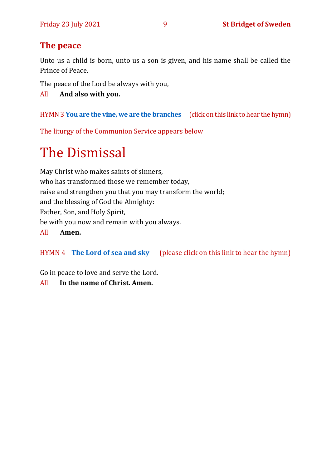# **The peace**

Unto us a child is born, unto us a son is given, and his name shall be called the Prince of Peace.

The peace of the Lord be always with you,

All **And also with you.**

HYMN3 **[You](https://www.youtube.com/watch?v=hv72Q23lIp0) are the vine, we are the branches** (click on this link to hear the hymn)

The liturgy of the Communion Service appears below

# The Dismissal

May Christ who makes saints of sinners, who has transformed those we remember today, raise and strengthen you that you may transform the world; and the blessing of God the Almighty: Father, Son, and Holy Spirit, be with you now and remain with you always. All **Amen.**

HYMN 4 **[The Lord of sea and sky](https://www.youtube.com/watch?v=cGNYDcqdl8g)** (please click on this link to hear the hymn)

Go in peace to love and serve the Lord.

All **In the name of Christ. Amen.**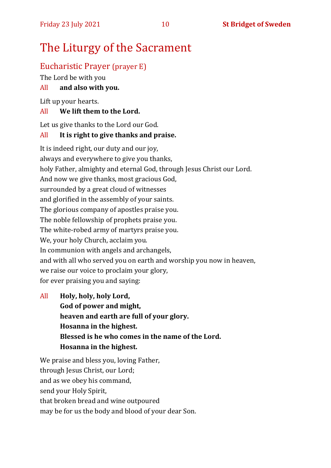# The Liturgy of the Sacrament

## Eucharistic Prayer (prayer E)

The Lord be with you

#### All **and also with you.**

Lift up your hearts.

#### All **We lift them to the Lord.**

Let us give thanks to the Lord our God.

#### All **It is right to give thanks and praise.**

It is indeed right, our duty and our joy, always and everywhere to give you thanks, holy Father, almighty and eternal God, through Jesus Christ our Lord. And now we give thanks, most gracious God, surrounded by a great cloud of witnesses and glorified in the assembly of your saints. The glorious company of apostles praise you. The noble fellowship of prophets praise you. The white-robed army of martyrs praise you. We, your holy Church, acclaim you. In communion with angels and archangels, and with all who served you on earth and worship you now in heaven, we raise our voice to proclaim your glory, for ever praising you and saying:

All **Holy, holy, holy Lord, God of power and might, heaven and earth are full of your glory. Hosanna in the highest. Blessed is he who comes in the name of the Lord. Hosanna in the highest.**

We praise and bless you, loving Father, through Jesus Christ, our Lord; and as we obey his command, send your Holy Spirit, that broken bread and wine outpoured may be for us the body and blood of your dear Son.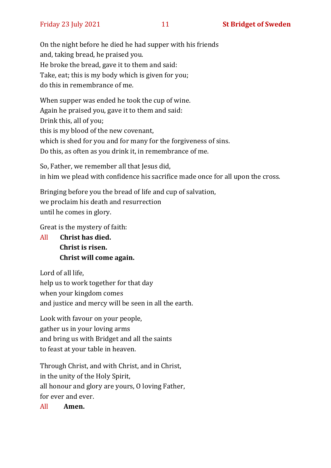On the night before he died he had supper with his friends and, taking bread, he praised you. He broke the bread, gave it to them and said: Take, eat; this is my body which is given for you; do this in remembrance of me.

When supper was ended he took the cup of wine. Again he praised you, gave it to them and said: Drink this, all of you; this is my blood of the new covenant, which is shed for you and for many for the forgiveness of sins. Do this, as often as you drink it, in remembrance of me.

So, Father, we remember all that Jesus did, in him we plead with confidence his sacrifice made once for all upon the cross.

Bringing before you the bread of life and cup of salvation, we proclaim his death and resurrection until he comes in glory.

Great is the mystery of faith:

All **Christ has died. Christ is risen. Christ will come again.**

Lord of all life, help us to work together for that day when your kingdom comes and justice and mercy will be seen in all the earth.

Look with favour on your people, gather us in your loving arms and bring us with Bridget and all the saints to feast at your table in heaven.

Through Christ, and with Christ, and in Christ, in the unity of the Holy Spirit, all honour and glory are yours, O loving Father, for ever and ever.

All **Amen.**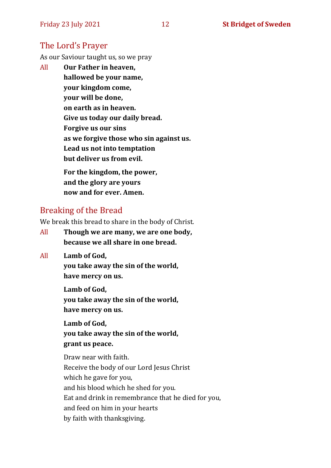## The Lord's Prayer

As our Saviour taught us, so we pray

All **Our Father in heaven, hallowed be your name, your kingdom come, your will be done, on earth as in heaven. Give us today our daily bread. Forgive us our sins as we forgive those who sin against us. Lead us not into temptation but deliver us from evil. For the kingdom, the power,** 

**and the glory are yours now and for ever. Amen.**

#### Breaking of the Bread

We break this bread to share in the body of Christ.

- All **Though we are many, we are one body, because we all share in one bread.**
- All **Lamb of God,**

**you take away the sin of the world, have mercy on us.**

**Lamb of God, you take away the sin of the world, have mercy on us.**

**Lamb of God, you take away the sin of the world, grant us peace.**

Draw near with faith. Receive the body of our Lord Jesus Christ which he gave for you, and his blood which he shed for you. Eat and drink in remembrance that he died for you, and feed on him in your hearts by faith with thanksgiving.